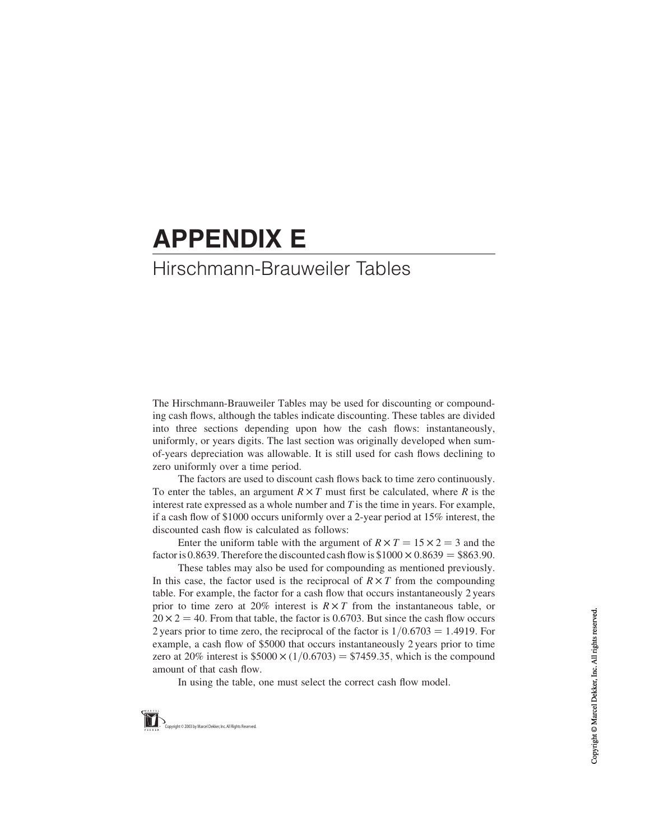# APPENDIX E

## Hirschmann-Brauweiler Tables

The Hirschmann-Brauweiler Tables may be used for discounting or compounding cash flows, although the tables indicate discounting. These tables are divided into three sections depending upon how the cash flows: instantaneously, uniformly, or years digits. The last section was originally developed when sumof-years depreciation was allowable. It is still used for cash flows declining to zero uniformly over a time period.

The factors are used to discount cash flows back to time zero continuously. To enter the tables, an argument  $R \times T$  must first be calculated, where R is the interest rate expressed as a whole number and  $T$  is the time in years. For example, if a cash flow of \$1000 occurs uniformly over a 2-year period at 15% interest, the discounted cash flow is calculated as follows:

Enter the uniform table with the argument of  $R \times T = 15 \times 2 = 3$  and the factor is 0.8639. Therefore the discounted cash flow is  $$1000 \times 0.8639 = $863.90$ .

These tables may also be used for compounding as mentioned previously. In this case, the factor used is the reciprocal of  $R \times T$  from the compounding table. For example, the factor for a cash flow that occurs instantaneously 2 years prior to time zero at 20% interest is  $R \times T$  from the instantaneous table, or  $20 \times 2 = 40$ . From that table, the factor is 0.6703. But since the cash flow occurs 2 years prior to time zero, the reciprocal of the factor is  $1/0.6703 = 1.4919$ . For example, a cash flow of \$5000 that occurs instantaneously 2 years prior to time zero at 20% interest is  $$5000 \times (1/0.6703) = $7459.35$ , which is the compound amount of that cash flow.

In using the table, one must select the correct cash flow model.

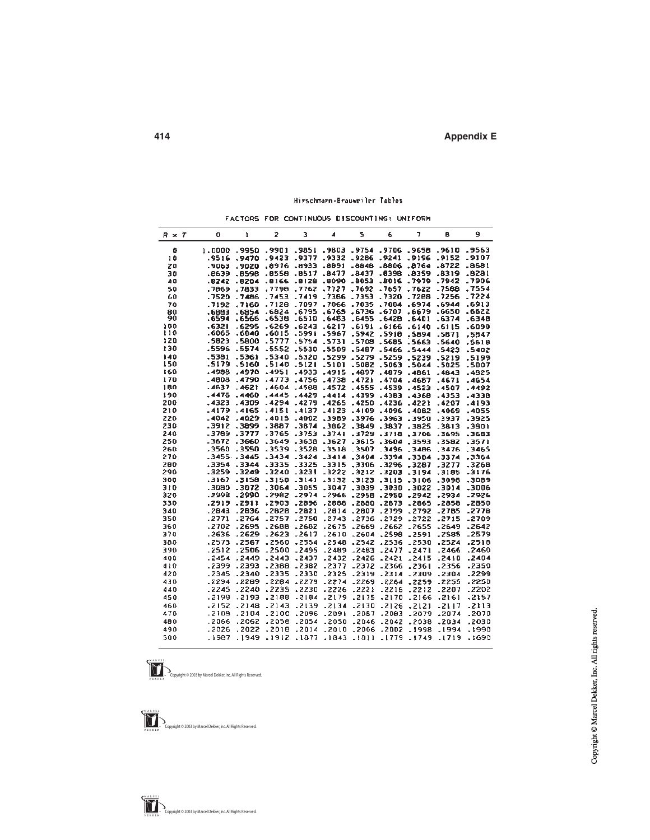### Hirschmann-Brauweiler Tables

FACTORS FOR CONTINUOUS DISCOUNTING: UNIFORM

| $R \times T$ | 0       | ı            | $\overline{z}$ | 3            | 4       | 5            | 6              | 7       | B            | 9       |
|--------------|---------|--------------|----------------|--------------|---------|--------------|----------------|---------|--------------|---------|
| 0            | 1.0000  | .9950        | .9901          | .9851        | .9803   | .9754        | .9706          | .9658   | .9610        | .9563   |
| 10           | . 9516  | .9470        | .9423          | .9377        | .9332   | .9286        | .9241          | .9196   | .9152        | .9107   |
| 20           | .9063   | .9020        | .8976          | <b>EECB.</b> | .8991   | .8848        | .8806          | .8764   | .8722        | .8681   |
| 30           | .8639   | .8598        | .8558          | .9517        | .8477   | .8437        | 8398           | 8359    | .8319        | .8281   |
| 40           | .8242   | .0204        | .8166          | .8128        | .8090   | <b>E208.</b> | .8016          | .7979   | .7942        | .7906   |
| 50           | .7869   | .7833        | .7798          | .7762        | .7727   | .7692        | .7657          | .7622   | .7588        | .7554   |
| 60           | .7520   | .7486        | .7453          | .7419        | .7386   | .7353        | .7320          | .7288   | .7256        | .7224   |
| 70           | .7192   | .7160        | .712B          | .7097        | .7066   | .7035        | .7004          | .6974   | .6944        | .6913   |
| 80           | EB83.   | .6854        | .6824          | .6795        | .6765   | .6736        | .6707          | .6679   | .6650        | .6622   |
| 90           | . 6594  | .6566        | -6538          | -6510        | .6483   | .6455        | .6428          | .6401   | .6374        | .6348   |
| 100          | .6321   | . 6295       | .6269          | .6243        | .6217   | $-6191$      | .6166          | .6140   | .6115        | .6090   |
| t 10         | .6065   | .6040        | .6015          | .5991        | .5967   | .5942        | .5910          | .5894   | .5871        | .5847   |
| 120          | .5823   | .5800        | .5777          | .5754        | .5731   | .5708        | .5685          | .5663   | .5640        | .5618   |
| 130          | .5596   | .5574        | .5552          | .5530        | .5509   | .5487        | .5466          | .5444   | .5423        | .5402   |
| 140          | .5381   | .5361        | .5340          | .5320        | .5299   | .5279        | .5259          | -5239   | .5219        | .5199   |
| 150          | .5179   | .5160        | .5140          | .5121        | .5101   | .5082        | <b>Eao2.</b>   | .5044   | .5025        | .5007   |
| 160          | .4988   | .4970        | .4951          | .4933        | .4915   | .4897        | .4879          | .4861   | .4843        | .4825   |
| 170          | $-4008$ | .4790        | .4773          | .4756        | .4738   | .4721        | .4704          | .4687   | .4671        | .4654   |
| 180          | .4637   | $-4621$      | -4604          | .4568        | .4572   | .4555        | .4539          | .4523   | .4507        | .4492   |
| 190          | $-4476$ | .4460        | .4445          | .4429        | .4414   | .4399        | .4383          | .4368   | .4353        | 4338.   |
| 200          | $-4323$ | .4309        | .4294          | .4279        | .4265   | .4250        | .4236          | $-4221$ | .4207        | $-4193$ |
| 210          | -4179   | .4165        | .4151          | .4137        | .4123   | $-4109$      | .4096          | .4082   | .4069        | .4055   |
| 220          | $-4042$ | .4029        | .4015          | $-4002$      | .3989   | .3976        | .3963          | .3950   | <b>SS937</b> | .3925   |
| 230          | .3912   | -3899        | .3887          | .3874        | .3862   | .3849        | .3837          | .3825   | .3813        | .3801   |
| 240          | -3789   | -3777        | -3765          | .3753        | .3741   | .3729        | .3718          | .3706   | .3695        | 3683    |
| 250          | .3672   | .3660        | .3649          | .3638        | .3627   | .3615        | .3604          | .3593   | .3582        | .3571   |
| 260          | .3560   | .3550        | .3539          | .3528        | .3518   | .3507        | .3496          | .3486   | .3476        | .3465   |
| 270          |         | .34553445    | .3434          | $-3424$      | $-3414$ | .3404        | .3394          | .3384   | .3374        | .3364   |
| 280          | .3354   | <b>AAEE.</b> | <b>ZEEE.</b>   | .3325        | $-3315$ | .3306        | $-3296$        | .3287   | .3277        | .3268   |
| 290          | .3259   | .3249        | .3240          | $-3231$      | .3222   | .3212        | .3203          | .3194   | .3185        | -3176   |
| 300          | .3167   | .3158        | .3150          | $-3141$      | .3132   | .3123        | .3115          | $-3106$ | .3098        | .3089   |
| 310          | 0806.   | -3072        | .3064          | .3055        | .3047   | .3039        | <b>OEGE.</b>   | .3022   | .3014        | -3006   |
| 320          | .2998   | -2990        | .2982          | -2974        | -2966   | .2958        | .2950          | -2942   | .2934        | -2926   |
| 330          | .2919   | .2911        | .2903          | .2896        | .2888   | .2880        |                | .2865   | .2858        | .2850   |
| 340          | .2843   | .2836        | .2828          | .2821        | .2814   | .2807        | .2673<br>.2799 | .2792   | .2785        | .2778   |
|              | . 2771  | $-2764$      | .2757          | .2750        | .2743   |              |                |         |              |         |
| 350          |         |              |                | .2682        |         | .2736        | .2729          | .2722   | .2715        | -2709   |
| 360          | -2702   | $-2695$      | .2688          |              | .2675   | .2669        | .2662          | .2655   | .2649        | .2642   |
| 370          | .2636   | .2629        | .2623          | $-2617$      | .2610   | .2604        | .2598          | .2591   | . 2585       | .2579   |
| 380          | .2573   | .2567        | .2560          | .2554        | .2548   | .2542        | .2536          | .2530   | .2524        | .2518   |
| 390          | .2512   | .2506        | .2500          | .2495        | $-2489$ | .2483        | .2477          | .2471   | . 2466       | .2460   |
| 400          | .2454   | .2449        | .2443          | .2437        | .2432   | .2426        | .2421          | .2415   | .2410        | .2404   |
| 430          | -2399   | .2393        | .2388          | .2382        | .2377   | .2372        | .2366          | .2361   | .2356        | .2350   |
| 420          | .2345   | .2340        | .2335          | .2330        | .2325   | .2319        | .2314          | .2309   | .2304        | .2299   |
| 430          | .2294   | .2289        | .2284          | .2279        | .2274   | .2269        | .2264          | .2259   | .2255        | .2250   |
| 440          | .2245   | .2240        | .2235          | .2230        | .2226   | .2221        | .2216          | .2212   | .2207        | .2202   |
| 450          | .2198   | .2193        | .2188          | .2184        | .2179   | .2175        | .2170          | .2166   | .2161        | .2157   |
| 460          | 2152    | $-2148$      | .2143          | .2139        | .2134   | JE15.        | .2126          | .2121   | -2117        | 2113    |
| 470          | .2108   | .2104        | .2100          | .2096        | .2091   | .2087        | .2003          | .2079   | .2074        | .2070   |
| 480          | .2066   | .2062        | .2058          | .2054        | .2050   | .2046        | .2042          | .2038   | $-2034$      | .2030   |
| 490          | .2026   | .2022        | .2018          | .2014        | .2010   | .2006        | .2002          | -1998   | .1994        | .1990   |
| 500          | .1987   | .1949        | .1912          | .1877        | .1843   | .1811        | -1779          | .1749   | .1719        | .1690   |
|              |         |              |                |              |         |              |                |         |              |         |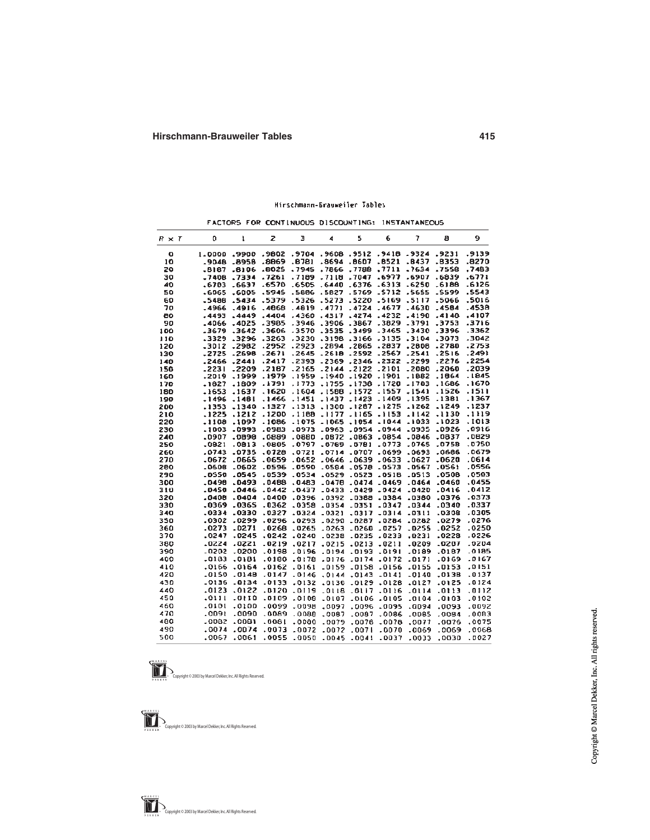#### Mirschmann-Brauweiler Jables

FACTORS FOR CONTINUOUS DISCOUNTING: INSTANTANEOUS

| $R \times T$ | o            | ı            | z       | э       | 4               | 5            | 6                  | 7       | a            | 9      |
|--------------|--------------|--------------|---------|---------|-----------------|--------------|--------------------|---------|--------------|--------|
| o            | 1.0000       | .9900        | - 9802  |         | .9704.9608.9512 |              | .9418.9324         |         | .9231        | .9139  |
| 10           | .9048        | .8958        | .8069   | .8781   | .8694           | .8607        | .8521              | .8437   | .8353        | .8270  |
| 20           | .8187        | .8106        | .8025   | .7945   | .7866           | .7788        | .7711              | .7634   | .7558        | .7483  |
| 30           | -7408        | .7334        | .7261   | .7189   | .7118           | .7047        | -6977              | .6907   | . 6839       | .6771  |
| 40           | .6703        | -6637        | -6570   | .6505   | .6440           | -6376        | EIE <sub>0</sub> . | .6250   | -6188        | .6126  |
| 50           | -6065        | .6005        | .5945   | .5886   | .5827           | .5769        | -5712              | .5655   | -5599        | .5543  |
| 60           | -5488        | .5434        | .5379   | .5326   | .5273           | .5220        | -5169              | .5117   | .5066        | .5016  |
| 70           | -4966        | . 4916       | .4868   | .4819   | .4771           | . 4724       | .4677              | .4630   | .4584        | .4538  |
| 80           | <b>EP44.</b> | .4449        | .4404   | .4360   | .4317           | .4274        | .4232              | .4190   | .4148        | .4107  |
| 90           | .4066        | .4025        | .3985   | .3946   | .3906           | .3867        | .3829              | .3791   | .3753        | .3716  |
| 100          | .3679        | .3642        | .3606   | .3570   | .3535           | .3499        | $-3465$            | .3430   | .3396        | .3362  |
| 110          | .3329        | .3296        | .3263   | .3230   | .3198           | .3166        | -3135              | .3104   | .3073        | .3042  |
| 120          | .3012        | .2982        | .2952   | .2923   | .2894           | .2865        | .2837              | .2608   | .2780        | .2753  |
| 130          | $-2725$      | .2698        | .2671   | .2645   | .2618           | .2592        | -2567              | .2541   | .2516        | .2491  |
| 140          | .2466        | .2441        | .2417   | .2393   | -2369           | .2346        | .2322              | .2299   | .2276        | .2254  |
| 150          | -2231        | .2209        | .2167   | .2165   | $-2144$         | .2122        | -2101              | .2080   | .2060        | .2039  |
| 160          | .2019        | . 1999       | .1979   | ,1959   | .1940           | -1920        | .1901              | .1882   | .1864        | . 1845 |
| 170          | . 1827       | .1809        | .1791   | ,1773   | .1755           | .1738        | .1720              | -1703   | . 1686       | . 1670 |
| 180          | .1653        | .1637        | . 1620  | .1604   | .1588           | .1572        | - 1557             | .1541   | .1526        | . 1511 |
| 190          | .1496        | .1461        | .1466   | .1451   | .1437           | .1423        | .1409              | .1395   | .1381        | .1367  |
| 200          | .1353        | -1340        | .1327   | .1313   | .1300           | .1267        | -1275              | .1262   | . 1249       | .1237  |
| 210          | .1225        | .1212        | .1200   | .1188   | -1177           | -1165        | .1153              | .1142   | .1130        | .1119  |
| 220          | .1108        | .1097        | - 1086  | $-1075$ | $-1065$         | .1054        | .1044              | .1033   | -1023        | -1013  |
| 230          | .1003        | :0993        | :0983   | .0973   | .0963           | .0954        | .0944              | .0935   | .0926        | -0916  |
| 240          | .0907        | .0898        | .0889   | .0860   | .0872           | .0863        | .0854              | .0846   | .0837        | ,0829  |
| 250          | .0821        | .0013        | .0805   | 0797ء   | .0789           | .0781        | .0773              | .0765   | .0758        | -0750  |
| 260          | .0743        | .0735        | .0728   | .0721   | .0714           | .0707        | .0699              | .0693   | .0686        | .0679  |
| 270          | .0672        | .0665        | .0659   | .0652   | .0646           | .0639        | .0633              | .0627   | .0620        | .0614  |
| 280          | .0608        | .0602        | .0596   | .0590   | .0584           | .0578        | .0573              | .0567   | .0561        | .0556  |
| 290          | . 0550       | .0545        | .0539   | .0534   | .0529           | .0523        | .0518              | .0513   | .0508        | .0503  |
| 300          | .0490        | .0493        | .0488   | .0483   | .0470           | .0474        | $-0469$            | .0464   | .0460        | .0455  |
| 310          | .0450        | .0446        | .0442   | .0437   | $-0433$         | .0429        | .0424              | .0420   | .0416        | .0412  |
| 320          | .0408        | .0404        | .0400   | .0396   | .0392           | .0388        | .0384              | .0380   | .0376        | .0373  |
| 330          | .0369        | .0365        | .0362   | .0358   | .0354           | <b>LO351</b> | .0347              | .0344   | <b>0340.</b> | .0337  |
| 340          | .0334        | <b>OEEO.</b> | .0327   | .0324   | -0321           | .0317        | $-0314$            | .0311   | 8080.        | .0305  |
| 350          | .0302        | .0299        | .0296   | .0293   | .0290           | -0287        | .0284              | .0282   | .0279        | .0276  |
| 360          | .0273        | .0271        | .0268   | .0265   | .0263           | -0260        | .0257              | .0255   | .0252        | .0250  |
| 370          | .0247        | .0245        | .0242   | .0240   | .0238           | .0235        | .0233              | ,0231   | .0228        | .0226  |
| 380          | .0224        | .0221        | $-0219$ | .0217   | .0215           | .0213        | .0211              | .0209   | .0207        | .0204  |
| 390          | .0202        | .0200        | .0198   | .0196   | .0194           | 393.         | .0191              | .0189   | .0187        | .0185  |
| 400          | .0183        | .0181        | .0180   | .0178   | .0176           | .0174        | .0172              | .0171   | .0169        | -0167  |
| 410          | .0166        | .0164        | -0162   | . 0161  | -0159           | -0158        | 0156ء              | .0155   | -0153        | .0151  |
| 420          | .0150        | .0148        | .0147   | .0146   | .0144           | .0143        | -0141              | $-0140$ | .0138        | .0137  |
| 430          | -0136        | -0134        | -0133   | .0132   | .0130           | .0129        | .0128              | .0127   | .0125        | .0124  |
| 440          | .0123        | .0122        | .0120   | .0119   | .0118           | $-0117$      | .0116              | .0114   | .0113        | .0112  |
| 450          | .0111        | -0110        | -0109   | .0108   | .0107           | -0106        | .0105              | .0104   | .0103        | .0102  |
| 460          | .0101        | .0100        | -0099   | .0098   | .0097           | .0096        | .0095              | .0094   | .0093        | .0092  |
| 470          | .0091        | .0090        | .0089   | 0080.   | .0087           | .0087        | .0086              | .0085   | .0084        | .0083  |
| 480          | .0082        | .0081        | .0081   | .0080   | .0079           | .0078        | .0078              | ,0077   | .0076        | .0075  |
| 490          | .0074        | .0074        | .0073   | .0072   | .0072           | .0071        | .0070              | .0069   | .0069        | .0068  |
| 500          | .0067        | .0061        | .0055   | .0050   |                 |              |                    |         | ,0030        |        |
|              |              |              |         |         | .0045           | .0041        | .0037              | .0033   |              | .0027  |